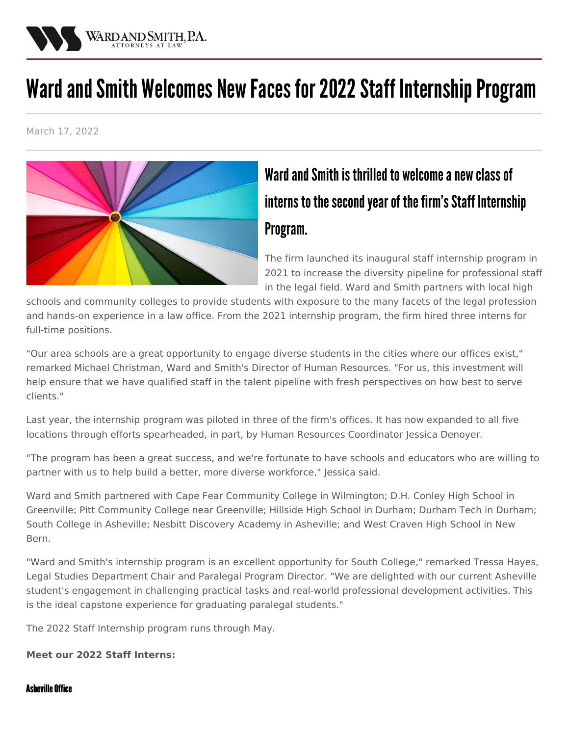

# Ward and Smith Welcomes New Faces for 2022 Staff Internship Program

March 17, 2022



# Ward and Smith is thrilled to welcome a new class of interns to the second year of the firm's Staff Internship Program.

The firm launched its inaugural staff internship program in 2021 to increase the diversity pipeline for professional staff in the legal field. Ward and Smith partners with local high

schools and community colleges to provide students with exposure to the many facets of the legal profession and hands-on experience in a law office. From the 2021 internship program, the firm hired three interns for full-time positions.

"Our area schools are a great opportunity to engage diverse students in the cities where our offices exist," remarked Michael [Christman](/staff/michael-christman), Ward and Smith's Director of Human Resources. "For us, this investment will help ensure that we have qualified staff in the talent pipeline with fresh perspectives on how best to serve clients."

Last year, the internship program was piloted in three of the firm's offices. It has now expanded to all five locations through efforts spearheaded, in part, by Human Resources Coordinator Jessica [Denoyer](/staff/jessica-denoyer).

"The program has been a great success, and we're fortunate to have schools and educators who are willing to partner with us to help build a better, more diverse workforce," Jessica said.

Ward and Smith partnered with Cape Fear Community College in Wilmington; D.H. Conley High School in Greenville; Pitt Community College near Greenville; Hillside High School in Durham; Durham Tech in Durham; South College in Asheville; Nesbitt Discovery Academy in Asheville; and West Craven High School in New Bern.

"Ward and Smith's internship program is an excellent opportunity for South College," remarked Tressa Hayes, Legal Studies Department Chair and Paralegal Program Director. "We are delighted with our current Asheville student's engagement in challenging practical tasks and real-world professional development activities. This is the ideal capstone experience for graduating paralegal students."

The 2022 Staff Internship program runs through May.

#### **Meet our 2022 Staff Interns:**

#### **Asheville Office**